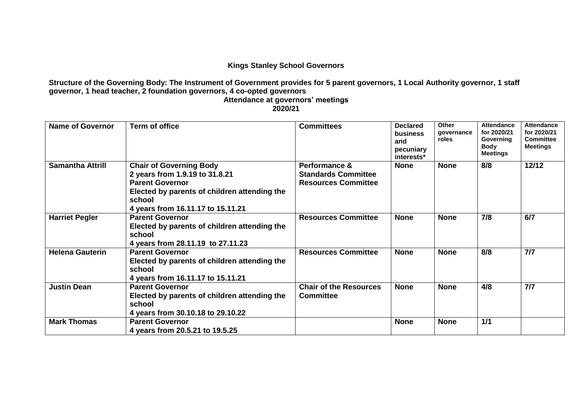## **Kings Stanley School Governors**

**Structure of the Governing Body: The Instrument of Government provides for 5 parent governors, 1 Local Authority governor, 1 staff governor, 1 head teacher, 2 foundation governors, 4 co-opted governors**

**Attendance at governors' meetings 2020/21**

| <b>Name of Governor</b> | <b>Term of office</b>                                                                                                                                                                     | <b>Committees</b>                                                         | <b>Declared</b><br>business<br>and<br>pecuniary<br>interests* | <b>Other</b><br>governance<br>roles | <b>Attendance</b><br>for 2020/21<br>Governing<br><b>Body</b><br><b>Meetings</b> | <b>Attendance</b><br>for 2020/21<br><b>Committee</b><br><b>Meetings</b> |
|-------------------------|-------------------------------------------------------------------------------------------------------------------------------------------------------------------------------------------|---------------------------------------------------------------------------|---------------------------------------------------------------|-------------------------------------|---------------------------------------------------------------------------------|-------------------------------------------------------------------------|
| <b>Samantha Attrill</b> | <b>Chair of Governing Body</b><br>2 years from 1.9.19 to 31.8.21<br><b>Parent Governor</b><br>Elected by parents of children attending the<br>school<br>4 years from 16.11.17 to 15.11.21 | Performance &<br><b>Standards Committee</b><br><b>Resources Committee</b> | <b>None</b>                                                   | <b>None</b>                         | 8/8                                                                             | 12/12                                                                   |
| <b>Harriet Pegler</b>   | <b>Parent Governor</b><br>Elected by parents of children attending the<br>school<br>4 years from 28.11.19 to 27.11.23                                                                     | <b>Resources Committee</b>                                                | <b>None</b>                                                   | <b>None</b>                         | 7/8                                                                             | 6/7                                                                     |
| <b>Helena Gauterin</b>  | <b>Parent Governor</b><br>Elected by parents of children attending the<br>school<br>4 years from 16.11.17 to 15.11.21                                                                     | <b>Resources Committee</b>                                                | <b>None</b>                                                   | <b>None</b>                         | 8/8                                                                             | 7/7                                                                     |
| <b>Justin Dean</b>      | <b>Parent Governor</b><br>Elected by parents of children attending the<br>school<br>4 years from 30.10.18 to 29.10.22                                                                     | <b>Chair of the Resources</b><br><b>Committee</b>                         | <b>None</b>                                                   | <b>None</b>                         | 4/8                                                                             | 7/7                                                                     |
| <b>Mark Thomas</b>      | <b>Parent Governor</b><br>4 years from 20.5.21 to 19.5.25                                                                                                                                 |                                                                           | <b>None</b>                                                   | <b>None</b>                         | 1/1                                                                             |                                                                         |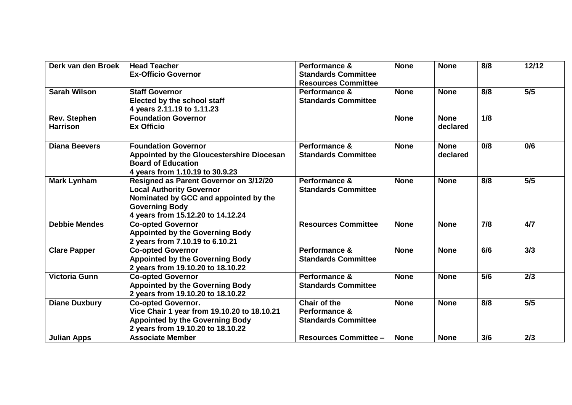| Derk van den Broek   | <b>Head Teacher</b>                         | Performance &                | <b>None</b> | <b>None</b> | 8/8 | 12/12 |
|----------------------|---------------------------------------------|------------------------------|-------------|-------------|-----|-------|
|                      | <b>Ex-Officio Governor</b>                  | <b>Standards Committee</b>   |             |             |     |       |
|                      |                                             | <b>Resources Committee</b>   |             |             |     |       |
| <b>Sarah Wilson</b>  | <b>Staff Governor</b>                       | <b>Performance &amp;</b>     | <b>None</b> | <b>None</b> | 8/8 | 5/5   |
|                      | Elected by the school staff                 | <b>Standards Committee</b>   |             |             |     |       |
|                      | 4 years 2.11.19 to 1.11.23                  |                              |             |             |     |       |
| <b>Rev. Stephen</b>  | <b>Foundation Governor</b>                  |                              | <b>None</b> | <b>None</b> | 1/8 |       |
| <b>Harrison</b>      | <b>Ex Officio</b>                           |                              |             | declared    |     |       |
| <b>Diana Beevers</b> | <b>Foundation Governor</b>                  | Performance &                | <b>None</b> | <b>None</b> | 0/8 | 0/6   |
|                      | Appointed by the Gloucestershire Diocesan   | <b>Standards Committee</b>   |             | declared    |     |       |
|                      | <b>Board of Education</b>                   |                              |             |             |     |       |
|                      | 4 years from 1.10.19 to 30.9.23             |                              |             |             |     |       |
| <b>Mark Lynham</b>   | Resigned as Parent Governor on 3/12/20      | Performance &                | <b>None</b> | <b>None</b> | 8/8 | 5/5   |
|                      | <b>Local Authority Governor</b>             | <b>Standards Committee</b>   |             |             |     |       |
|                      | Nominated by GCC and appointed by the       |                              |             |             |     |       |
|                      | <b>Governing Body</b>                       |                              |             |             |     |       |
|                      | 4 years from 15.12.20 to 14.12.24           |                              |             |             |     |       |
| <b>Debbie Mendes</b> | <b>Co-opted Governor</b>                    | <b>Resources Committee</b>   | <b>None</b> | <b>None</b> | 7/8 | 4/7   |
|                      | <b>Appointed by the Governing Body</b>      |                              |             |             |     |       |
|                      | 2 years from 7.10.19 to 6.10.21             |                              |             |             |     |       |
| <b>Clare Papper</b>  | <b>Co-opted Governor</b>                    | Performance &                | <b>None</b> | <b>None</b> | 6/6 | 3/3   |
|                      | <b>Appointed by the Governing Body</b>      | <b>Standards Committee</b>   |             |             |     |       |
|                      | 2 years from 19.10.20 to 18.10.22           |                              |             |             |     |       |
| <b>Victoria Gunn</b> | <b>Co-opted Governor</b>                    | Performance &                | <b>None</b> | <b>None</b> | 5/6 | 2/3   |
|                      | <b>Appointed by the Governing Body</b>      | <b>Standards Committee</b>   |             |             |     |       |
|                      | 2 years from 19.10.20 to 18.10.22           |                              |             |             |     |       |
| <b>Diane Duxbury</b> | <b>Co-opted Governor.</b>                   | <b>Chair of the</b>          | <b>None</b> | <b>None</b> | 8/8 | 5/5   |
|                      | Vice Chair 1 year from 19.10.20 to 18.10.21 | Performance &                |             |             |     |       |
|                      | <b>Appointed by the Governing Body</b>      | <b>Standards Committee</b>   |             |             |     |       |
|                      | 2 years from 19.10.20 to 18.10.22           |                              |             |             |     |       |
| <b>Julian Apps</b>   | <b>Associate Member</b>                     | <b>Resources Committee -</b> | <b>None</b> | <b>None</b> | 3/6 | 2/3   |